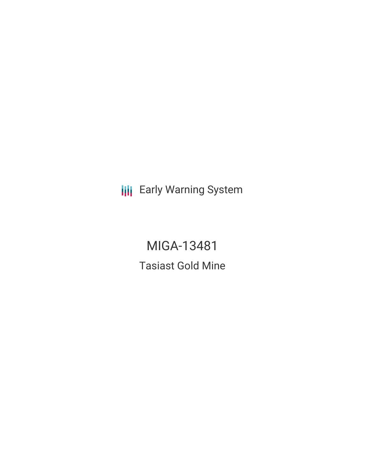**III** Early Warning System

MIGA-13481 Tasiast Gold Mine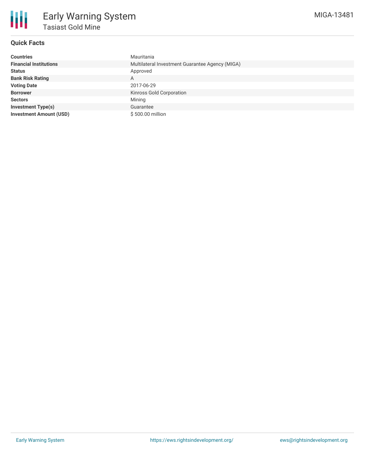

## **Quick Facts**

| <b>Countries</b>               | Mauritania                                      |  |  |  |
|--------------------------------|-------------------------------------------------|--|--|--|
| <b>Financial Institutions</b>  | Multilateral Investment Guarantee Agency (MIGA) |  |  |  |
| <b>Status</b>                  | Approved                                        |  |  |  |
| <b>Bank Risk Rating</b>        | A                                               |  |  |  |
| <b>Voting Date</b>             | 2017-06-29                                      |  |  |  |
| <b>Borrower</b>                | Kinross Gold Corporation                        |  |  |  |
| <b>Sectors</b>                 | Mining                                          |  |  |  |
| <b>Investment Type(s)</b>      | Guarantee                                       |  |  |  |
| <b>Investment Amount (USD)</b> | \$500.00 million                                |  |  |  |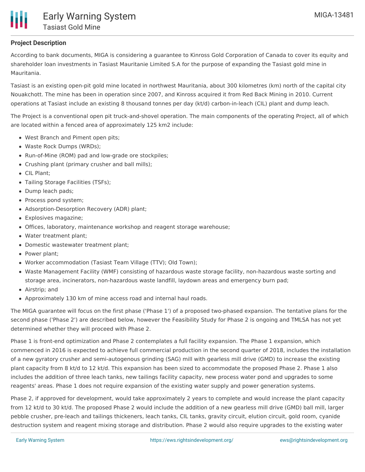

## **Project Description**

According to bank documents, MIGA is considering a guarantee to Kinross Gold Corporation of Canada to cover its equity and shareholder loan investments in Tasiast Mauritanie Limited S.A for the purpose of expanding the Tasiast gold mine in Mauritania.

Tasiast is an existing open-pit gold mine located in northwest Mauritania, about 300 kilometres (km) north of the capital city Nouakchott. The mine has been in operation since 2007, and Kinross acquired it from Red Back Mining in 2010. Current operations at Tasiast include an existing 8 thousand tonnes per day (kt/d) carbon-in-leach (CIL) plant and dump leach.

The Project is a conventional open pit truck-and-shovel operation. The main components of the operating Project, all of which are located within a fenced area of approximately 125 km2 include:

- West Branch and Piment open pits;
- Waste Rock Dumps (WRDs);
- Run-of-Mine (ROM) pad and low-grade ore stockpiles;
- Crushing plant (primary crusher and ball mills);
- CIL Plant:
- Tailing Storage Facilities (TSFs);
- Dump leach pads;
- Process pond system;
- Adsorption-Desorption Recovery (ADR) plant;
- Explosives magazine;
- Offices, laboratory, maintenance workshop and reagent storage warehouse;
- Water treatment plant;
- Domestic wastewater treatment plant;
- Power plant:
- Worker accommodation (Tasiast Team Village (TTV); Old Town);
- Waste Management Facility (WMF) consisting of hazardous waste storage facility, non-hazardous waste sorting and storage area, incinerators, non-hazardous waste landfill, laydown areas and emergency burn pad;
- Airstrip; and
- Approximately 130 km of mine access road and internal haul roads.

The MIGA guarantee will focus on the first phase ('Phase 1') of a proposed two-phased expansion. The tentative plans for the second phase ('Phase 2') are described below, however the Feasibility Study for Phase 2 is ongoing and TMLSA has not yet determined whether they will proceed with Phase 2.

Phase 1 is front-end optimization and Phase 2 contemplates a full facility expansion. The Phase 1 expansion, which commenced in 2016 is expected to achieve full commercial production in the second quarter of 2018, includes the installation of a new gyratory crusher and semi-autogenous grinding (SAG) mill with gearless mill drive (GMD) to increase the existing plant capacity from 8 kt/d to 12 kt/d. This expansion has been sized to accommodate the proposed Phase 2. Phase 1 also includes the addition of three leach tanks, new tailings facility capacity, new process water pond and upgrades to some reagents' areas. Phase 1 does not require expansion of the existing water supply and power generation systems.

Phase 2, if approved for development, would take approximately 2 years to complete and would increase the plant capacity from 12 kt/d to 30 kt/d. The proposed Phase 2 would include the addition of a new gearless mill drive (GMD) ball mill, larger pebble crusher, pre-leach and tailings thickeners, leach tanks, CIL tanks, gravity circuit, elution circuit, gold room, cyanide destruction system and reagent mixing storage and distribution. Phase 2 would also require upgrades to the existing water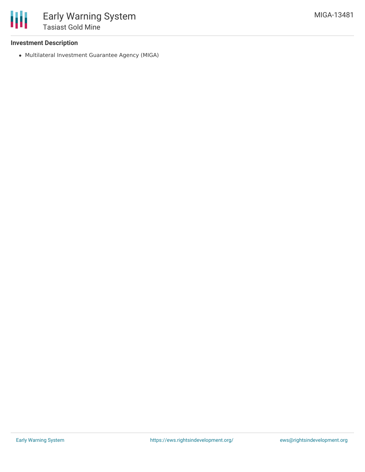

### **Investment Description**

Multilateral Investment Guarantee Agency (MIGA)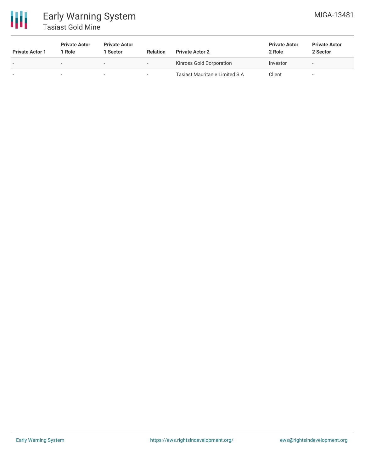

# Early Warning System Tasiast Gold Mine

| <b>Private Actor 1</b> | <b>Private Actor</b><br>1 Role | <b>Private Actor</b><br>Sector | <b>Relation</b>          | <b>Private Actor 2</b>                | <b>Private Actor</b><br>2 Role | <b>Private Actor</b><br>2 Sector |
|------------------------|--------------------------------|--------------------------------|--------------------------|---------------------------------------|--------------------------------|----------------------------------|
| $\sim$                 | -                              | $\overline{\phantom{0}}$       | $\overline{\phantom{a}}$ | Kinross Gold Corporation              | Investor                       | $\,$                             |
|                        |                                | -                              |                          | <b>Tasiast Mauritanie Limited S.A</b> | Client                         | $\sim$                           |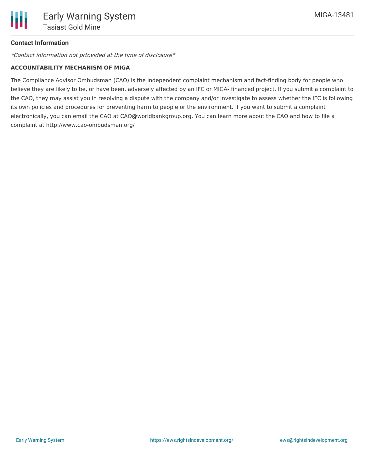## **Contact Information**

\*Contact information not prtovided at the time of disclosure\*

### **ACCOUNTABILITY MECHANISM OF MIGA**

The Compliance Advisor Ombudsman (CAO) is the independent complaint mechanism and fact-finding body for people who believe they are likely to be, or have been, adversely affected by an IFC or MIGA- financed project. If you submit a complaint to the CAO, they may assist you in resolving a dispute with the company and/or investigate to assess whether the IFC is following its own policies and procedures for preventing harm to people or the environment. If you want to submit a complaint electronically, you can email the CAO at CAO@worldbankgroup.org. You can learn more about the CAO and how to file a complaint at http://www.cao-ombudsman.org/